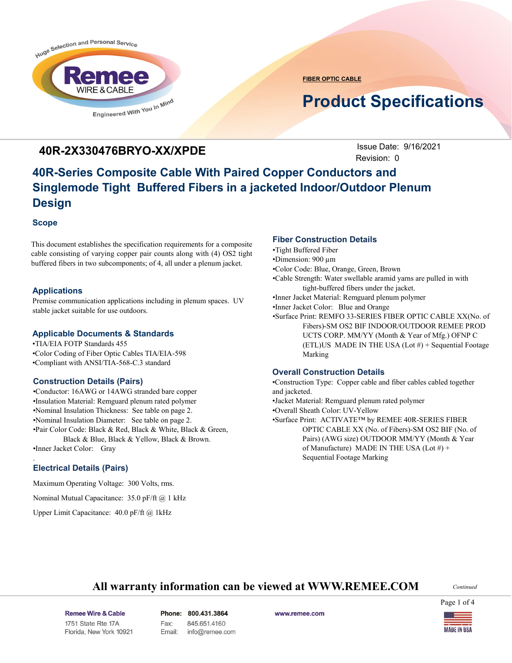

**FIBER OPTIC CABLE**

# **Product Specifications**

### **40R-2X330476BRYO-XX/XPDE** Issue Date: 9/16/2021

**Issue Date: 9/16/2021** Revision: 0

# **40R-Series Composite Cable With Paired Copper Conductors and Singlemode Tight Buffered Fibers in a jacketed Indoor/Outdoor Plenum Design**

### **Scope**

This document establishes the specification requirements for a composite cable consisting of varying copper pair counts along with (4) OS2 tight buffered fibers in two subcomponents; of 4, all under a plenum jacket.

### **Applications**

Premise communication applications including in plenum spaces. UV stable jacket suitable for use outdoors.

#### **Applicable Documents & Standards**

•TIA/EIA FOTP Standards 455 •Color Coding of Fiber Optic Cables TIA/EIA-598 •Compliant with ANSI/TIA-568-C.3 standard

### **Construction Details (Pairs)**

•Conductor: 16AWG or 14AWG stranded bare copper •Insulation Material: Remguard plenum rated polymer •Nominal Insulation Thickness: See table on page 2. •Nominal Insulation Diameter: See table on page 2. •Pair Color Code: Black & Red, Black & White, Black & Green, Black & Blue, Black & Yellow, Black & Brown. •Inner Jacket Color: Gray

### **Electrical Details (Pairs)**

.

Maximum Operating Voltage: 300 Volts, rms.

Nominal Mutual Capacitance: 35.0 pF/ft @ 1 kHz

Upper Limit Capacitance: 40.0 pF/ft @ 1kHz

### **Fiber Construction Details**

•Tight Buffered Fiber

•Dimension: 900 µm

- •Color Code: Blue, Orange, Green, Brown
- •Cable Strength: Water swellable aramid yarns are pulled in with tight-buffered fibers under the jacket.

•Inner Jacket Material: Remguard plenum polymer

•Inner Jacket Color: Blue and Orange

•Surface Print: REMFO 33-SERIES FIBER OPTIC CABLE XX(No. of Fibers)-SM OS2 BIF INDOOR/OUTDOOR REMEE PROD UCTS CORP. MM/YY (Month & Year of Mfg.) OFNP C (ETL)US MADE IN THE USA (Lot  $#$ ) + Sequential Footage Marking

#### **Overall Construction Details**

•Construction Type: Copper cable and fiber cables cabled together and jacketed. •Jacket Material: Remguard plenum rated polymer •Overall Sheath Color: UV-Yellow •Surface Print: ACTIVATE™ by REMEE 40R-SERIES FIBER

OPTIC CABLE XX (No. of Fibers)-SM OS2 BIF (No. of Pairs) (AWG size) OUTDOOR MM/YY (Month & Year of Manufacture) MADE IN THE USA (Lot #) + Sequential Footage Marking

### **All warranty information can be viewed at WWW.REMEE.COM**

*Continued*

Page 1 of 4

Remee Wire & Cable Issue No.: 05 Florida, New York 10921 Phone: 800.431.3864 845.651.4160 Fax: Email: info@remee.com

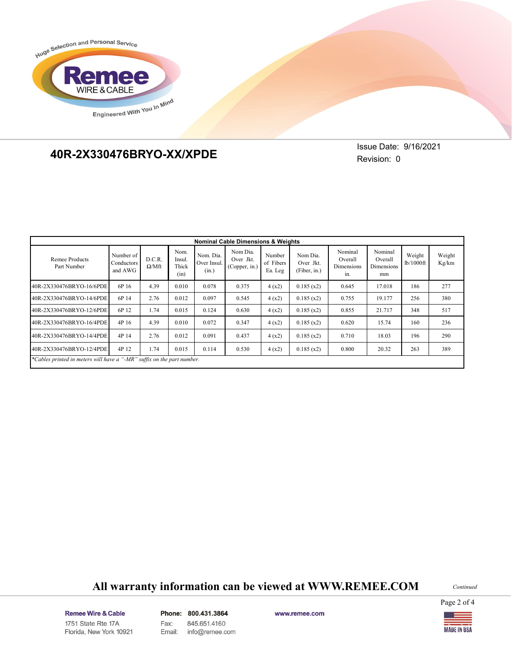



# **40R-2X330676KRYO-XX/XP 40R-2X330476BRYO-XX/XPDE**

**Issue Date: 9/16/2021** Revision: 0

| <b>Nominal Cable Dimensions &amp; Weights</b>                          |                                    |                        |                                 |                                   |                                        |                                |                                       |                                         |                                        |                     |                 |
|------------------------------------------------------------------------|------------------------------------|------------------------|---------------------------------|-----------------------------------|----------------------------------------|--------------------------------|---------------------------------------|-----------------------------------------|----------------------------------------|---------------------|-----------------|
| Remee Products<br>Part Number                                          | Number of<br>Conductors<br>and AWG | D.C.R.<br>$\Omega/Mft$ | Nom.<br>Insul.<br>Thick<br>(in) | Nom. Dia.<br>Over Insul.<br>(in.) | Nom Dia.<br>Over Jkt.<br>(Copper, in.) | Number<br>of Fibers<br>Ea. Leg | Nom Dia.<br>Over Jkt.<br>(Fiber, in.) | Nominal<br>Overall<br>Dimensions<br>in. | Nominal<br>Overall<br>Dimensions<br>mm | Weight<br>lb/1000ft | Weight<br>Kg/km |
| 40R-2X330476BRYO-16/6PDE                                               | 6P 16                              | 4.39                   | 0.010                           | 0.078                             | 0.375                                  | 4(x2)                          | 0.185(x2)                             | 0.645                                   | 17.018                                 | 186                 | 277             |
| 40R-2X330476BRYO-14/6PDE                                               | 6P 14                              | 2.76                   | 0.012                           | 0.097                             | 0.545                                  | 4(x2)                          | 0.185(x2)                             | 0.755                                   | 19.177                                 | 256                 | 380             |
| 40R-2X330476BRYO-12/6PDE                                               | 6P 12                              | 1.74                   | 0.015                           | 0.124                             | 0.630                                  | 4(x2)                          | 0.185(x2)                             | 0.855                                   | 21.717                                 | 348                 | 517             |
| 40R-2X330476BRYO-16/4PDE                                               | 4P 16                              | 4.39                   | 0.010                           | 0.072                             | 0.347                                  | 4(x2)                          | 0.185(x2)                             | 0.620                                   | 15.74                                  | 160                 | 236             |
| 40R-2X330476BRYO-14/4PDE                                               | 4P 14                              | 2.76                   | 0.012                           | 0.091                             | 0.437                                  | 4(x2)                          | 0.185(x2)                             | 0.710                                   | 18.03                                  | 196                 | 290             |
| 40R-2X330476BRYO-12/4PDE                                               | 4P 12                              | 1.74                   | 0.015                           | 0.114                             | 0.530                                  | 4(x2)                          | 0.185(x2)                             | 0.800                                   | 20.32                                  | 263                 | 389             |
| *Cables printed in meters will have a "-MR" suffix on the part number. |                                    |                        |                                 |                                   |                                        |                                |                                       |                                         |                                        |                     |                 |

## **All warranty information can be viewed at WWW.REMEE.COM**

*Continued*

Page 2 of 4

Remee Wire & Cable Issue No.: 05 Florida, New York 10921 Phone: 800.431.3864 Fax: 845.651.4160 Email: info@remee.com

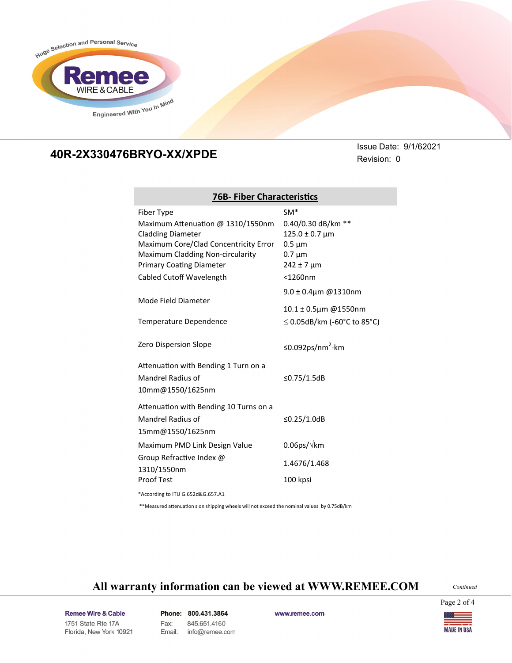

**76B- Fiber Characteristics**

# **40R-2X330676KRYO-XX/XP 40R-2X330476BRYO-XX/XPDE**

**Issue Date: 9/1/62021** Revision: 0

| Fiber Type                                                          | $SM*$                              |  |  |  |
|---------------------------------------------------------------------|------------------------------------|--|--|--|
| Maximum Attenuation @ 1310/1550nm                                   | 0.40/0.30 dB/km **                 |  |  |  |
| <b>Cladding Diameter</b>                                            | $125.0 \pm 0.7$ µm                 |  |  |  |
| Maximum Core/Clad Concentricity Error                               | $0.5 \mu m$                        |  |  |  |
| Maximum Cladding Non-circularity<br><b>Primary Coating Diameter</b> | $0.7 \mu m$<br>$242 \pm 7 \,\mu m$ |  |  |  |
|                                                                     | $<$ 1260nm                         |  |  |  |
| Cabled Cutoff Wavelength                                            |                                    |  |  |  |
| Mode Field Diameter                                                 | $9.0 \pm 0.4$ µm @1310nm           |  |  |  |
|                                                                     | 10.1 ± 0.5µm @1550nm               |  |  |  |
| Temperature Dependence                                              | $\leq$ 0.05dB/km (-60°C to 85°C)   |  |  |  |
|                                                                     |                                    |  |  |  |
| <b>Zero Dispersion Slope</b>                                        | ≤0.092ps/nm <sup>2</sup> -km       |  |  |  |
|                                                                     |                                    |  |  |  |
| Attenuation with Bending 1 Turn on a                                |                                    |  |  |  |
| Mandrel Radius of                                                   | ≤0.75/1.5dB                        |  |  |  |
| 10mm@1550/1625nm                                                    |                                    |  |  |  |
| Attenuation with Bending 10 Turns on a                              |                                    |  |  |  |
| Mandrel Radius of                                                   | ≤0.25/1.0dB                        |  |  |  |
| 15mm@1550/1625nm                                                    |                                    |  |  |  |
| Maximum PMD Link Design Value                                       | $0.06$ ps/ $\sqrt{k}$ m            |  |  |  |
| Group Refractive Index @                                            |                                    |  |  |  |
| 1310/1550nm                                                         | 1.4676/1.468                       |  |  |  |
| <b>Proof Test</b>                                                   | 100 kpsi                           |  |  |  |
| *According to ITU G.652d&G.657.A1                                   |                                    |  |  |  |

\*\*Measured attenuation s on shipping wheels will not exceed the nominal values by 0.75dB/km

### **All warranty information can be viewed at WWW.REMEE.COM**

*Continued*

Page 2 of 4

Remee Wire & Cable Issue No.: 05 Florida, New York 10921 Phone: 800.431.3864 Fax: 845.651.4160 info@remee.com Email: